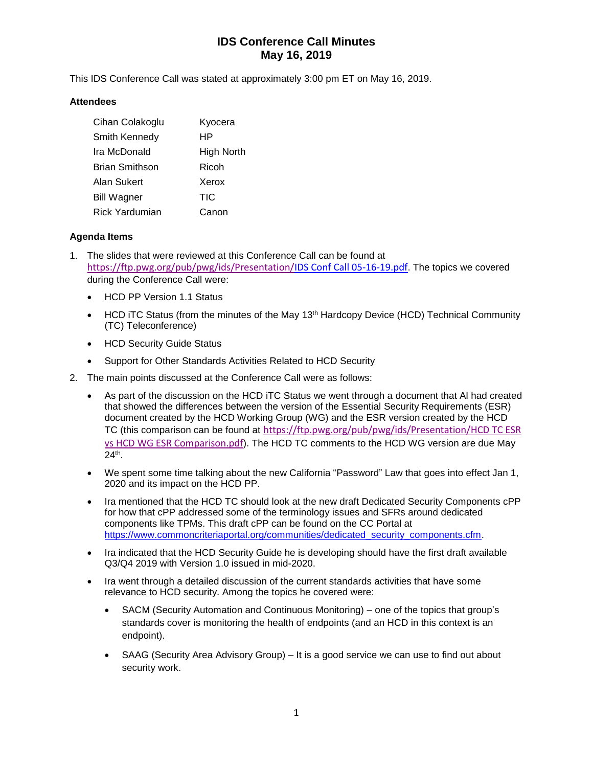# **IDS Conference Call Minutes May 16, 2019**

This IDS Conference Call was stated at approximately 3:00 pm ET on May 16, 2019.

#### **Attendees**

| Cihan Colakoglu       | Kyocera    |
|-----------------------|------------|
| Smith Kennedy         | НP         |
| Ira McDonald          | High North |
| <b>Brian Smithson</b> | Ricoh      |
| Alan Sukert           | Xerox      |
| <b>Bill Wagner</b>    | TIC        |
| <b>Rick Yardumian</b> | Canon      |

### **Agenda Items**

- 1. The slides that were reviewed at this Conference Call can be found at [https://ftp.pwg.org/pub/pwg/ids/Presentation/I](https://ftp.pwg.org/pub/pwg/ids/Presentation/2019-04-18-IDS-F2F.pdf)DS Conf Call 05-16-19.pdf. The topics we covered during the Conference Call were:
	- HCD PP Version 1.1 Status
	- HCD iTC Status (from the minutes of the May 13<sup>th</sup> Hardcopy Device (HCD) Technical Community (TC) Teleconference)
	- HCD Security Guide Status
	- Support for Other Standards Activities Related to HCD Security
- 2. The main points discussed at the Conference Call were as follows:
	- As part of the discussion on the HCD iTC Status we went through a document that Al had created that showed the differences between the version of the Essential Security Requirements (ESR) document created by the HCD Working Group (WG) and the ESR version created by the HCD TC (this comparison can be found at [https://ftp.pwg.org/pub/pwg/ids/Presentation/HCD TC ESR](https://ftp.pwg.org/pub/pwg/ids/Presentation/HCD%20TC%20ESR%20vs%20HCD%20WG%20ESR%20Comparison.pdf)  [vs HCD WG ESR Comparison.pdf](https://ftp.pwg.org/pub/pwg/ids/Presentation/HCD%20TC%20ESR%20vs%20HCD%20WG%20ESR%20Comparison.pdf)). The HCD TC comments to the HCD WG version are due May 24th .
	- We spent some time talking about the new California "Password" Law that goes into effect Jan 1, 2020 and its impact on the HCD PP.
	- Ira mentioned that the HCD TC should look at the new draft Dedicated Security Components cPP for how that cPP addressed some of the terminology issues and SFRs around dedicated components like TPMs. This draft cPP can be found on the CC Portal at [https://www.commoncriteriaportal.org/communities/dedicated\\_security\\_components.cfm.](https://www.commoncriteriaportal.org/communities/dedicated_security_components.cfm)
	- Ira indicated that the HCD Security Guide he is developing should have the first draft available Q3/Q4 2019 with Version 1.0 issued in mid-2020.
	- Ira went through a detailed discussion of the current standards activities that have some relevance to HCD security. Among the topics he covered were:
		- SACM (Security Automation and Continuous Monitoring) one of the topics that group's standards cover is monitoring the health of endpoints (and an HCD in this context is an endpoint).
		- SAAG (Security Area Advisory Group) It is a good service we can use to find out about security work.